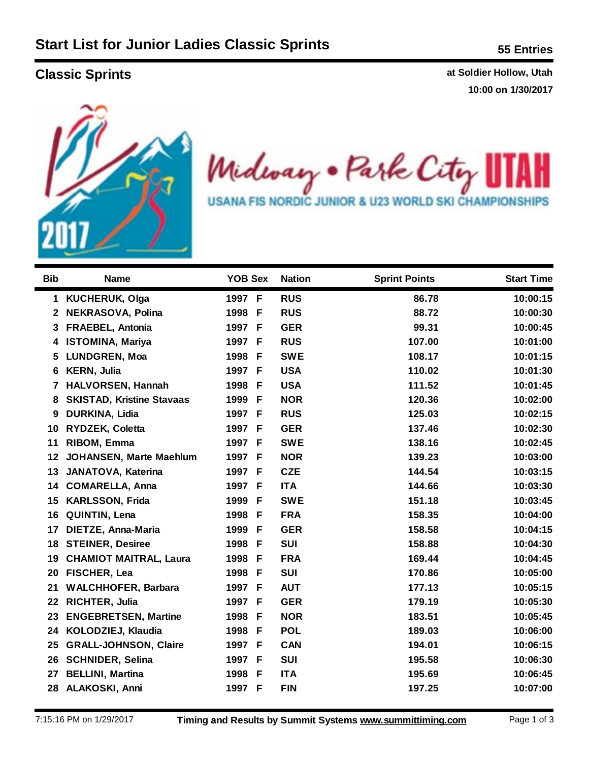**Classic Sprints Classic Sprints at Soldier Hollow, Utah lassic Sprints at Soldier Hollow, Utah 10:00 on 1/30/2017**



Midway . Park City ł **USANA FIS NORDIC JUNIOR & U23 WORLD SKI CHAMPIONSHIPS** 

| <b>Bib</b>   | <b>Name</b>                      | <b>YOB Sex</b> | <b>Nation</b> | <b>Sprint Points</b> | <b>Start Time</b> |
|--------------|----------------------------------|----------------|---------------|----------------------|-------------------|
|              |                                  |                |               |                      |                   |
| 1            | <b>KUCHERUK, Olga</b>            | 1997 F         | <b>RUS</b>    | 86.78                | 10:00:15          |
| $\mathbf{2}$ | NEKRASOVA, Polina                | 1998 F         | <b>RUS</b>    | 88.72                | 10:00:30          |
| 3.           | <b>FRAEBEL, Antonia</b>          | 1997 F         | <b>GER</b>    | 99.31                | 10:00:45          |
| 4            | <b>ISTOMINA, Mariya</b>          | 1997 F         | <b>RUS</b>    | 107.00               | 10:01:00          |
| 5            | <b>LUNDGREN, Moa</b>             | 1998 F         | <b>SWE</b>    | 108.17               | 10:01:15          |
| 6            | <b>KERN, Julia</b>               | 1997 F         | <b>USA</b>    | 110.02               | 10:01:30          |
| 7            | <b>HALVORSEN, Hannah</b>         | 1998 F         | <b>USA</b>    | 111.52               | 10:01:45          |
| 8            | <b>SKISTAD, Kristine Stavaas</b> | 1999 F         | <b>NOR</b>    | 120.36               | 10:02:00          |
| 9            | <b>DURKINA, Lidia</b>            | 1997 F         | <b>RUS</b>    | 125.03               | 10:02:15          |
| 10           | RYDZEK, Coletta                  | 1997 F         | <b>GER</b>    | 137.46               | 10:02:30          |
| 11           | RIBOM, Emma                      | 1997 F         | <b>SWE</b>    | 138.16               | 10:02:45          |
| 12           | <b>JOHANSEN, Marte Maehlum</b>   | 1997 F         | <b>NOR</b>    | 139.23               | 10:03:00          |
| 13           | JANATOVA, Katerina               | 1997 F         | <b>CZE</b>    | 144.54               | 10:03:15          |
| 14           | <b>COMARELLA, Anna</b>           | 1997 F         | <b>ITA</b>    | 144.66               | 10:03:30          |
| 15           | <b>KARLSSON, Frida</b>           | 1999 F         | <b>SWE</b>    | 151.18               | 10:03:45          |
| 16           | QUINTIN, Lena                    | 1998 F         | <b>FRA</b>    | 158.35               | 10:04:00          |
| 17           | DIETZE, Anna-Maria               | 1999<br>F      | <b>GER</b>    | 158.58               | 10:04:15          |
| 18           | <b>STEINER, Desiree</b>          | 1998 F         | <b>SUI</b>    | 158.88               | 10:04:30          |
| 19           | <b>CHAMIOT MAITRAL, Laura</b>    | 1998<br>-F     | <b>FRA</b>    | 169.44               | 10:04:45          |
| 20           | FISCHER, Lea                     | 1998 F         | <b>SUI</b>    | 170.86               | 10:05:00          |
| 21           | <b>WALCHHOFER, Barbara</b>       | 1997 F         | <b>AUT</b>    | 177.13               | 10:05:15          |
| 22           | <b>RICHTER, Julia</b>            | 1997 F         | <b>GER</b>    | 179.19               | 10:05:30          |
| 23           | <b>ENGEBRETSEN, Martine</b>      | 1998<br>-F     | <b>NOR</b>    | 183.51               | 10:05:45          |
| 24           | KOLODZIEJ, Klaudia               | 1998 F         | <b>POL</b>    | 189.03               | 10:06:00          |
| 25           | <b>GRALL-JOHNSON, Claire</b>     | 1997 F         | <b>CAN</b>    | 194.01               | 10:06:15          |
| 26           | <b>SCHNIDER, Selina</b>          | 1997 F         | <b>SUI</b>    | 195.58               | 10:06:30          |
| 27           | <b>BELLINI, Martina</b>          | 1998 F         | <b>ITA</b>    | 195.69               | 10:06:45          |
| 28           | ALAKOSKI, Anni                   | 1997 F         | <b>FIN</b>    | 197.25               | 10:07:00          |
|              |                                  |                |               |                      |                   |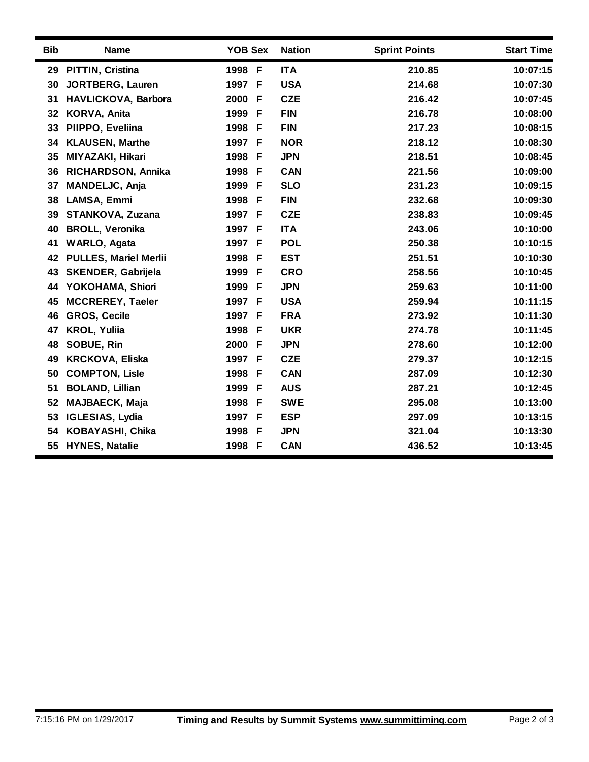| <b>Bib</b> | <b>Name</b>                  | <b>YOB Sex</b> |     | <b>Nation</b> | <b>Sprint Points</b> | <b>Start Time</b> |
|------------|------------------------------|----------------|-----|---------------|----------------------|-------------------|
| 29         | PITTIN, Cristina             | 1998 F         |     | <b>ITA</b>    | 210.85               | 10:07:15          |
| 30         | <b>JORTBERG, Lauren</b>      | 1997 F         |     | <b>USA</b>    | 214.68               | 10:07:30          |
| 31         | HAVLICKOVA, Barbora          | 2000           | F   | <b>CZE</b>    | 216.42               | 10:07:45          |
| 32         | KORVA, Anita                 | 1999           | -F  | <b>FIN</b>    | 216.78               | 10:08:00          |
| 33         | PIIPPO, Eveliina             | 1998           | F   | <b>FIN</b>    | 217.23               | 10:08:15          |
| 34         | <b>KLAUSEN, Marthe</b>       | 1997 F         |     | <b>NOR</b>    | 218.12               | 10:08:30          |
| 35         | MIYAZAKI, Hikari             | 1998 F         |     | <b>JPN</b>    | 218.51               | 10:08:45          |
| 36         | RICHARDSON, Annika           | 1998           | F   | CAN           | 221.56               | 10:09:00          |
| 37         | MANDELJC, Anja               | 1999           | -F  | <b>SLO</b>    | 231.23               | 10:09:15          |
| 38         | LAMSA, Emmi                  | 1998           | F   | <b>FIN</b>    | 232.68               | 10:09:30          |
| 39         | STANKOVA, Zuzana             | 1997 F         |     | <b>CZE</b>    | 238.83               | 10:09:45          |
| 40         | <b>BROLL, Veronika</b>       | 1997 F         |     | <b>ITA</b>    | 243.06               | 10:10:00          |
| 41         | <b>WARLO, Agata</b>          | 1997 F         |     | <b>POL</b>    | 250.38               | 10:10:15          |
| 42         | <b>PULLES, Mariel Merlii</b> | 1998 F         |     | <b>EST</b>    | 251.51               | 10:10:30          |
| 43         | <b>SKENDER, Gabrijela</b>    | 1999           | F   | <b>CRO</b>    | 258.56               | 10:10:45          |
| 44         | YOKOHAMA, Shiori             | 1999           | F   | <b>JPN</b>    | 259.63               | 10:11:00          |
| 45         | <b>MCCREREY, Taeler</b>      | 1997 F         |     | <b>USA</b>    | 259.94               | 10:11:15          |
| 46         | <b>GROS, Cecile</b>          | 1997 F         |     | <b>FRA</b>    | 273.92               | 10:11:30          |
| 47         | <b>KROL, Yuliia</b>          | 1998 F         |     | <b>UKR</b>    | 274.78               | 10:11:45          |
| 48         | SOBUE, Rin                   | 2000           | F   | <b>JPN</b>    | 278.60               | 10:12:00          |
| 49         | <b>KRCKOVA, Eliska</b>       | 1997           | F   | <b>CZE</b>    | 279.37               | 10:12:15          |
| 50         | <b>COMPTON, Lisle</b>        | 1998           | F   | <b>CAN</b>    | 287.09               | 10:12:30          |
| 51         | <b>BOLAND, Lillian</b>       | 1999           | F   | <b>AUS</b>    | 287.21               | 10:12:45          |
| 52         | <b>MAJBAECK, Maja</b>        | 1998 F         |     | <b>SWE</b>    | 295.08               | 10:13:00          |
| 53         | <b>IGLESIAS, Lydia</b>       | 1997           | - F | <b>ESP</b>    | 297.09               | 10:13:15          |
| 54         | KOBAYASHI, Chika             | 1998 F         |     | <b>JPN</b>    | 321.04               | 10:13:30          |
|            | 55 HYNES, Natalie            | 1998 F         |     | <b>CAN</b>    | 436.52               | 10:13:45          |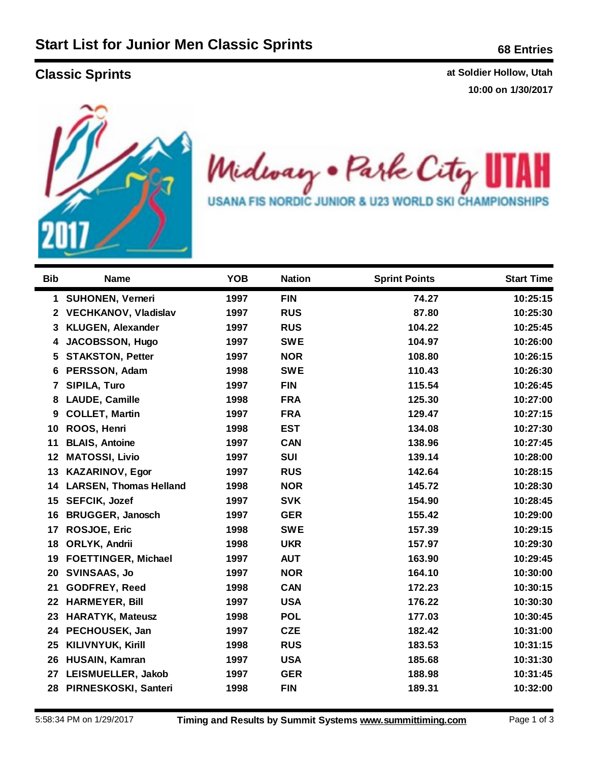**Classic Sprints Classic Sprints at Soldier Hollow, Utah lassic Sprints at Soldier Hollow, Utah 10:00 on 1/30/2017**



Midway . Park City ł **USANA FIS NORDIC JUNIOR & U23 WORLD SKI CHAMPIONSHIPS** 

| <b>Bib</b>   | <b>Name</b>                   | <b>YOB</b> | <b>Nation</b> | <b>Sprint Points</b> | <b>Start Time</b> |
|--------------|-------------------------------|------------|---------------|----------------------|-------------------|
| 1            | <b>SUHONEN, Verneri</b>       | 1997       | <b>FIN</b>    | 74.27                | 10:25:15          |
| $2^{\circ}$  | <b>VECHKANOV, Vladislav</b>   | 1997       | <b>RUS</b>    | 87.80                | 10:25:30          |
| 3            | <b>KLUGEN, Alexander</b>      | 1997       | <b>RUS</b>    | 104.22               | 10:25:45          |
| 4            | <b>JACOBSSON, Hugo</b>        | 1997       | <b>SWE</b>    | 104.97               | 10:26:00          |
| 5            | <b>STAKSTON, Petter</b>       | 1997       | <b>NOR</b>    | 108.80               | 10:26:15          |
| 6            | PERSSON, Adam                 | 1998       | <b>SWE</b>    | 110.43               | 10:26:30          |
| $\mathbf{7}$ | SIPILA, Turo                  | 1997       | <b>FIN</b>    | 115.54               | 10:26:45          |
| 8            | <b>LAUDE, Camille</b>         | 1998       | <b>FRA</b>    | 125.30               | 10:27:00          |
| 9            | <b>COLLET, Martin</b>         | 1997       | <b>FRA</b>    | 129.47               | 10:27:15          |
| 10           | ROOS, Henri                   | 1998       | <b>EST</b>    | 134.08               | 10:27:30          |
| 11           | <b>BLAIS, Antoine</b>         | 1997       | <b>CAN</b>    | 138.96               | 10:27:45          |
| 12           | <b>MATOSSI, Livio</b>         | 1997       | <b>SUI</b>    | 139.14               | 10:28:00          |
| 13           | <b>KAZARINOV, Egor</b>        | 1997       | <b>RUS</b>    | 142.64               | 10:28:15          |
| 14           | <b>LARSEN, Thomas Helland</b> | 1998       | <b>NOR</b>    | 145.72               | 10:28:30          |
| 15           | <b>SEFCIK, Jozef</b>          | 1997       | <b>SVK</b>    | 154.90               | 10:28:45          |
| 16           | <b>BRUGGER, Janosch</b>       | 1997       | <b>GER</b>    | 155.42               | 10:29:00          |
| 17           | ROSJOE, Eric                  | 1998       | <b>SWE</b>    | 157.39               | 10:29:15          |
| 18           | ORLYK, Andrii                 | 1998       | <b>UKR</b>    | 157.97               | 10:29:30          |
| 19           | <b>FOETTINGER, Michael</b>    | 1997       | <b>AUT</b>    | 163.90               | 10:29:45          |
| 20           | <b>SVINSAAS, Jo</b>           | 1997       | <b>NOR</b>    | 164.10               | 10:30:00          |
| 21           | <b>GODFREY, Reed</b>          | 1998       | <b>CAN</b>    | 172.23               | 10:30:15          |
| 22           | <b>HARMEYER, Bill</b>         | 1997       | <b>USA</b>    | 176.22               | 10:30:30          |
| 23           | <b>HARATYK, Mateusz</b>       | 1998       | <b>POL</b>    | 177.03               | 10:30:45          |
| 24           | PECHOUSEK, Jan                | 1997       | <b>CZE</b>    | 182.42               | 10:31:00          |
| 25           | KILIVNYUK, Kirill             | 1998       | <b>RUS</b>    | 183.53               | 10:31:15          |
| 26           | HUSAIN, Kamran                | 1997       | <b>USA</b>    | 185.68               | 10:31:30          |
| 27           | LEISMUELLER, Jakob            | 1997       | <b>GER</b>    | 188.98               | 10:31:45          |
|              | 28 PIRNESKOSKI, Santeri       | 1998       | <b>FIN</b>    | 189.31               | 10:32:00          |